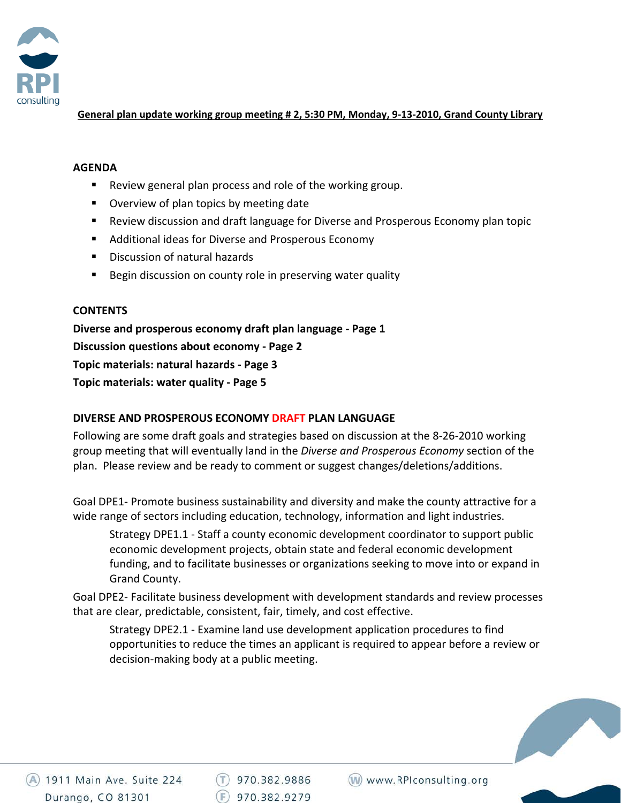

## General plan update working group meeting # 2, 5:30 PM, Monday, 9-13-2010, Grand County Library

## **AGENDA**

- Review general plan process and role of the working group.
- **Diverview of plan topics by meeting date**
- Review discussion and draft language for Diverse and Prosperous Economy plan topic
- Additional ideas for Diverse and Prosperous Economy
- **Discussion of natural hazards**
- **Begin discussion on county role in preserving water quality**

## **CONTENTS**

**Diverse and prosperous economy draft plan language ‐ Page 1 Discussion questions about economy ‐ Page 2 Topic materials: natural hazards ‐ Page 3 Topic materials: water quality ‐ Page 5**

# **DIVERSE AND PROSPEROUS ECONOMY DRAFT PLAN LANGUAGE**

Following are some draft goals and strategies based on discussion at the 8‐26‐2010 working group meeting that will eventually land in the *Diverse and Prosperous Economy* section of the plan. Please review and be ready to comment or suggest changes/deletions/additions.

Goal DPE1‐ Promote business sustainability and diversity and make the county attractive for a wide range of sectors including education, technology, information and light industries.

Strategy DPE1.1 ‐ Staff a county economic development coordinator to support public economic development projects, obtain state and federal economic development funding, and to facilitate businesses or organizations seeking to move into or expand in Grand County.

Goal DPE2‐ Facilitate business development with development standards and review processes that are clear, predictable, consistent, fair, timely, and cost effective.

Strategy DPE2.1 ‐ Examine land use development application procedures to find opportunities to reduce the times an applicant is required to appear before a review or decision‐making body at a public meeting.

 $(T)$  970.382.9886  $(F)$  970.382.9279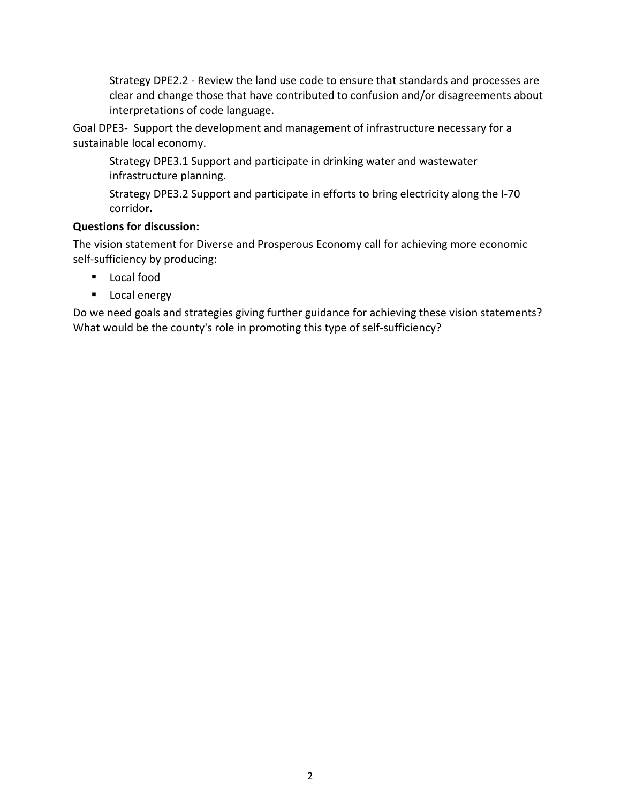Strategy DPE2.2 ‐ Review the land use code to ensure that standards and processes are clear and change those that have contributed to confusion and/or disagreements about interpretations of code language.

Goal DPE3‐ Support the development and management of infrastructure necessary for a sustainable local economy.

Strategy DPE3.1 Support and participate in drinking water and wastewater infrastructure planning.

Strategy DPE3.2 Support and participate in efforts to bring electricity along the I‐70 corrido**r.** 

# **Questions for discussion:**

The vision statement for Diverse and Prosperous Economy call for achieving more economic self‐sufficiency by producing:

- Local food
- **Local energy**

Do we need goals and strategies giving further guidance for achieving these vision statements? What would be the county's role in promoting this type of self-sufficiency?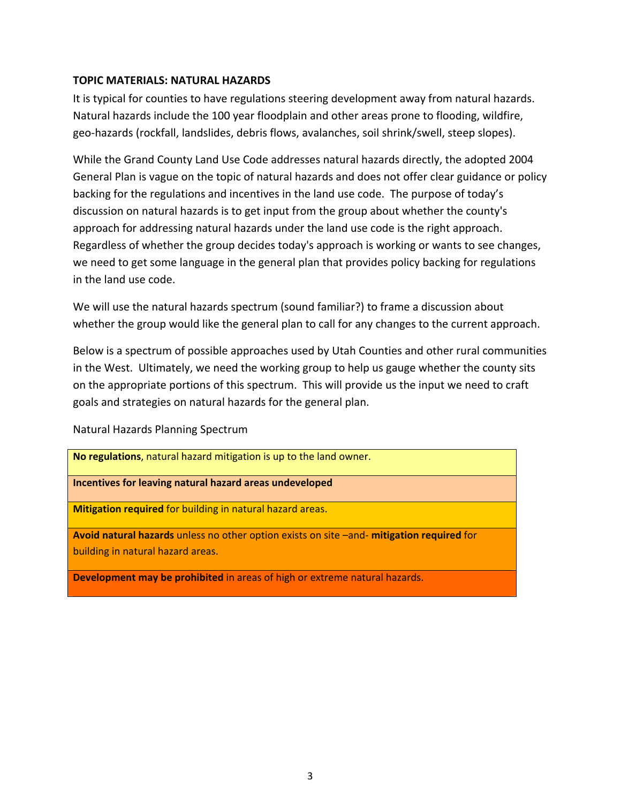## **TOPIC MATERIALS: NATURAL HAZARDS**

It is typical for counties to have regulations steering development away from natural hazards. Natural hazards include the 100 year floodplain and other areas prone to flooding, wildfire, geo-hazards (rockfall, landslides, debris flows, avalanches, soil shrink/swell, steep slopes).

While the Grand County Land Use Code addresses natural hazards directly, the adopted 2004 General Plan is vague on the topic of natural hazards and does not offer clear guidance or policy backing for the regulations and incentives in the land use code. The purpose of today's discussion on natural hazards is to get input from the group about whether the county's approach for addressing natural hazards under the land use code is the right approach. Regardless of whether the group decides today's approach is working or wants to see changes, we need to get some language in the general plan that provides policy backing for regulations in the land use code.

We will use the natural hazards spectrum (sound familiar?) to frame a discussion about whether the group would like the general plan to call for any changes to the current approach.

Below is a spectrum of possible approaches used by Utah Counties and other rural communities in the West. Ultimately, we need the working group to help us gauge whether the county sits on the appropriate portions of this spectrum. This will provide us the input we need to craft goals and strategies on natural hazards for the general plan.

Natural Hazards Planning Spectrum

**No regulations**, natural hazard mitigation is up to the land owner. **Incentives for leaving natural hazard areas undeveloped Mitigation required** for building in natural hazard areas. **Avoid natural hazards** unless no other option exists on site –and‐ **mitigation required** for building in natural hazard areas.

**Development may be prohibited** in areas of high or extreme natural hazards.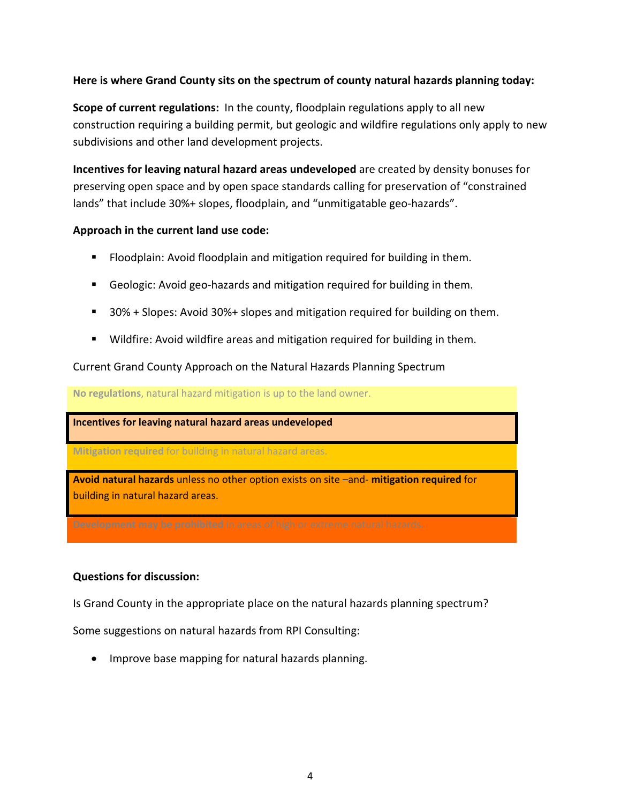## **Here is where Grand County sits on the spectrum of county natural hazards planning today:**

**Scope of current regulations:** In the county, floodplain regulations apply to all new construction requiring a building permit, but geologic and wildfire regulations only apply to new subdivisions and other land development projects.

**Incentives for leaving natural hazard areas undeveloped** are created by density bonuses for preserving open space and by open space standards calling for preservation of "constrained lands" that include 30%+ slopes, floodplain, and "unmitigatable geo‐hazards".

## **Approach in the current land use code:**

- Floodplain: Avoid floodplain and mitigation required for building in them.
- Geologic: Avoid geo-hazards and mitigation required for building in them.
- 30% + Slopes: Avoid 30%+ slopes and mitigation required for building on them.
- **Wildfire: Avoid wildfire areas and mitigation required for building in them.**

Current Grand County Approach on the Natural Hazards Planning Spectrum

**No regulations**, natural hazard mitigation is up to the land owner.

**Incentives for leaving natural hazard areas undeveloped**

**Mitigation required** for building in natural hazard areas.

**Avoid natural hazards** unless no other option exists on site –and‐ **mitigation required** for building in natural hazard areas.

## **Questions for discussion:**

Is Grand County in the appropriate place on the natural hazards planning spectrum?

Some suggestions on natural hazards from RPI Consulting:

• Improve base mapping for natural hazards planning.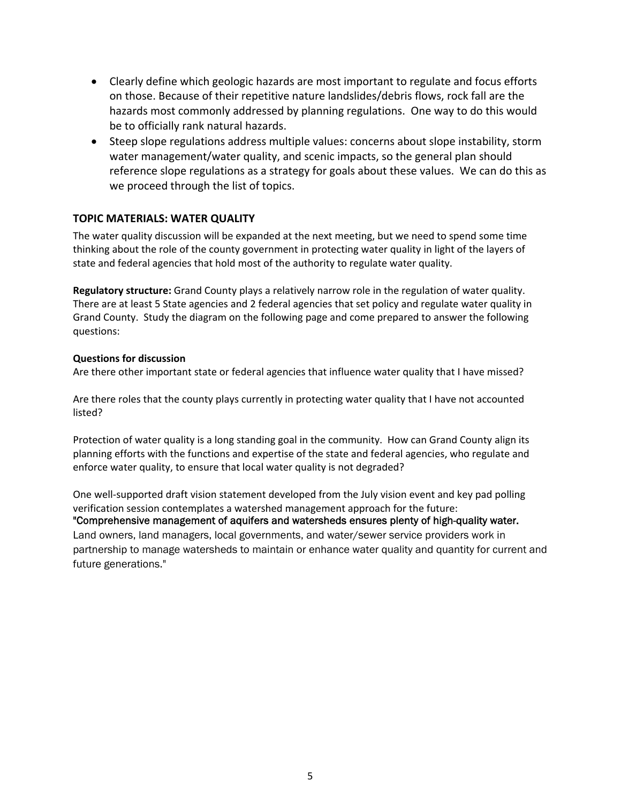- Clearly define which geologic hazards are most important to regulate and focus efforts on those. Because of their repetitive nature landslides/debris flows, rock fall are the hazards most commonly addressed by planning regulations. One way to do this would be to officially rank natural hazards.
- Steep slope regulations address multiple values: concerns about slope instability, storm water management/water quality, and scenic impacts, so the general plan should reference slope regulations as a strategy for goals about these values. We can do this as we proceed through the list of topics.

## **TOPIC MATERIALS: WATER QUALITY**

The water quality discussion will be expanded at the next meeting, but we need to spend some time thinking about the role of the county government in protecting water quality in light of the layers of state and federal agencies that hold most of the authority to regulate water quality.

**Regulatory structure:** Grand County plays a relatively narrow role in the regulation of water quality. There are at least 5 State agencies and 2 federal agencies that set policy and regulate water quality in Grand County. Study the diagram on the following page and come prepared to answer the following questions:

#### **Questions for discussion**

Are there other important state or federal agencies that influence water quality that I have missed?

Are there roles that the county plays currently in protecting water quality that I have not accounted listed?

Protection of water quality is a long standing goal in the community. How can Grand County align its planning efforts with the functions and expertise of the state and federal agencies, who regulate and enforce water quality, to ensure that local water quality is not degraded?

One well‐supported draft vision statement developed from the July vision event and key pad polling verification session contemplates a watershed management approach for the future: "Comprehensive management of aquifers and watersheds ensures plenty of high-quality water. Land owners, land managers, local governments, and water/sewer service providers work in partnership to manage watersheds to maintain or enhance water quality and quantity for current and future generations."